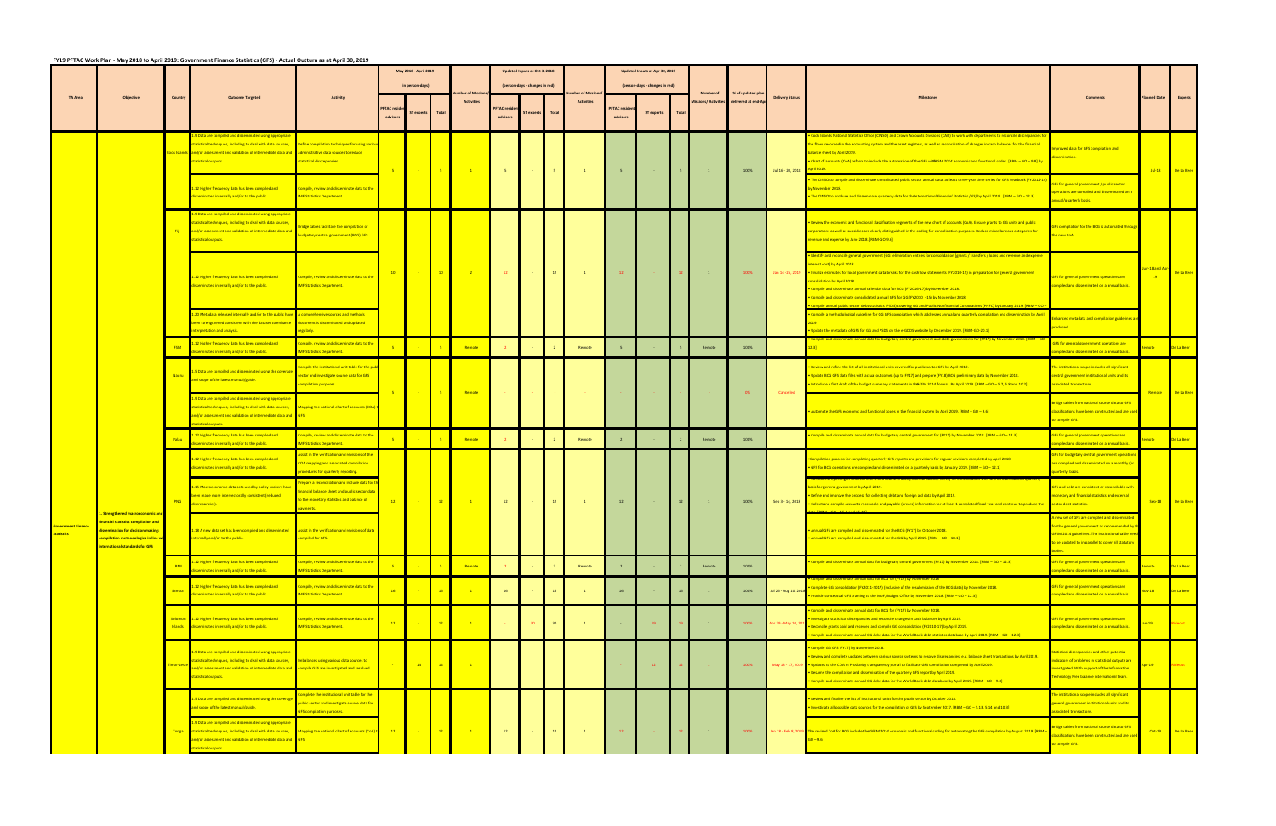|                                     |                                                                                                                                                      |              |                                                                                                                                                                                                                                                                                                                   | May 2018 - April 2019<br>Updated Inputs at Oct 3, 2018<br>Updated Inputs at Apr 30, 2019<br>(in person-days)<br>(person-days - changes in red)<br>(person-days - changes in red) |                             |                 |                  |                            |                                                                                                                                                                                                                                                                                                                                                                                                                                                                                            |                   |       |                                                                                  |                               |            |       |                    |                     |                        |                                                                                                                                                                                                                                                                                                                                                                                                                                                                                                                                                  |                                                                                                                                                                                                                       |                     |                   |
|-------------------------------------|------------------------------------------------------------------------------------------------------------------------------------------------------|--------------|-------------------------------------------------------------------------------------------------------------------------------------------------------------------------------------------------------------------------------------------------------------------------------------------------------------------|----------------------------------------------------------------------------------------------------------------------------------------------------------------------------------|-----------------------------|-----------------|------------------|----------------------------|--------------------------------------------------------------------------------------------------------------------------------------------------------------------------------------------------------------------------------------------------------------------------------------------------------------------------------------------------------------------------------------------------------------------------------------------------------------------------------------------|-------------------|-------|----------------------------------------------------------------------------------|-------------------------------|------------|-------|--------------------|---------------------|------------------------|--------------------------------------------------------------------------------------------------------------------------------------------------------------------------------------------------------------------------------------------------------------------------------------------------------------------------------------------------------------------------------------------------------------------------------------------------------------------------------------------------------------------------------------------------|-----------------------------------------------------------------------------------------------------------------------------------------------------------------------------------------------------------------------|---------------------|-------------------|
| <b>TA Area</b>                      | <b>Objective</b>                                                                                                                                     | Country      | <b>Outcome Targeted</b>                                                                                                                                                                                                                                                                                           | <b>Activity</b>                                                                                                                                                                  |                             |                 |                  |                            |                                                                                                                                                                                                                                                                                                                                                                                                                                                                                            |                   |       |                                                                                  |                               |            |       | Number of          | % of updated plan   | <b>Delivery Status</b> |                                                                                                                                                                                                                                                                                                                                                                                                                                                                                                                                                  |                                                                                                                                                                                                                       | <b>Planned Date</b> | Experts           |
|                                     |                                                                                                                                                      |              |                                                                                                                                                                                                                                                                                                                   |                                                                                                                                                                                  | <b>FTAC</b> res<br>advisors | ST experts      | <b>Total</b>     | <b>Activities</b>          | <b>PFTAC</b> res<br>advisors                                                                                                                                                                                                                                                                                                                                                                                                                                                               | <b>ST experts</b> | Total | <b>Activities</b>                                                                | <b>PFTAC</b> resi<br>advisors | ST experts | Total | issions/ Activitie | delivered at end-Ap |                        |                                                                                                                                                                                                                                                                                                                                                                                                                                                                                                                                                  |                                                                                                                                                                                                                       |                     |                   |
|                                     |                                                                                                                                                      |              | 1.9 Data are compiled and disseminated using appropriate<br>statistical techniques, including to deal with data sources, Refine compilation techniques for using variou<br>and/or assessment and validation of intermediate data and<br>statistical outputs.                                                      | administrative data sources to reduce<br>statistical discrepancies.                                                                                                              | $-5$                        | <b>Contract</b> | $\blacksquare$   | $\sim$ 100 $\pm$ 100 $\pm$ | $-5$                                                                                                                                                                                                                                                                                                                                                                                                                                                                                       |                   | $-5$  | $\sim 1$ .                                                                       | $-5$                          |            |       | $\mathbf{1}$       | 100%                | Jul 16 - 20, 2018      | Cook Islands National Statistics Office (CINSO) and Crown Accounts Divisions (CAD) to work with departments to reconcile discrepancies f<br>the flows recorded in the accounting system and the asset registers, as well as reconciliation of changes in cash balances for the financial<br>alance sheet by April 2019.<br>Chart of accounts (CoA) reform to include the automation of the GFS witdFSM 2014 economic and functional codes. [RBM - GO - 9.8] by                                                                                   | proved data for GFS compilation and<br>emination                                                                                                                                                                      |                     | Jul-18 De La Beer |
|                                     |                                                                                                                                                      |              | 1.12 Higher frequency data has been compiled and<br>sseminated internally and/or to the public.                                                                                                                                                                                                                   | ompile, review and disseminate data to the<br><b>IMF Statistics Department.</b>                                                                                                  |                             |                 |                  |                            |                                                                                                                                                                                                                                                                                                                                                                                                                                                                                            |                   |       |                                                                                  |                               |            |       |                    |                     |                        | The CINSO to compile and disseminate consolidated public sector annual data, at least three-year time series for GFS Yearbook (FY2012-14<br>November 2018<br>The CINSO to produce and disseminate quarterly data for the International Financial Statistics (IFS) by April 2019. [RBM - GO - 12.3]                                                                                                                                                                                                                                               | GFS for general government / public sector<br>perations are compiled and disseminated on a<br>nnual/quarterly basis.                                                                                                  |                     |                   |
|                                     |                                                                                                                                                      |              | 1.9 Data are compiled and disseminated using appropriate<br>statistical techniques, including to deal with data sources,<br>and/or assessment and validation of intermediate data and<br>tatistical outputs.                                                                                                      | ridge tables facilitate the compilation of<br>udgetary central government (BCG) GFS.                                                                                             |                             |                 |                  |                            |                                                                                                                                                                                                                                                                                                                                                                                                                                                                                            |                   |       |                                                                                  |                               |            |       |                    |                     |                        | Review the economic and functional classification segments of the new chart of accounts (CoA). Ensure grants to GG units and public<br>rporations as well as subsidies are clearly distinguished in the coding for consolidation purposes. Reduce miscellaneous categories for<br>venue and expense by June 2018. [RBM-GO-9.6]                                                                                                                                                                                                                   | S compilation for the BCG is automated through<br>e new CoA.                                                                                                                                                          |                     |                   |
|                                     |                                                                                                                                                      |              | 1.12 Higher frequency data has been compiled and<br>isseminated internally and/or to the public.                                                                                                                                                                                                                  | ompile, review and disseminate data to the<br><b>IMF Statistics Department.</b>                                                                                                  | 10 <sub>1</sub>             |                 | $\frac{1}{2}$ 10 | <b>Participate</b> 2       | $\blacksquare$ $\blacksquare$ $\blacksquare$ $\blacksquare$ $\blacksquare$ $\blacksquare$ $\blacksquare$ $\blacksquare$ $\blacksquare$ $\blacksquare$ $\blacksquare$ $\blacksquare$ $\blacksquare$ $\blacksquare$ $\blacksquare$ $\blacksquare$ $\blacksquare$ $\blacksquare$ $\blacksquare$ $\blacksquare$ $\blacksquare$ $\blacksquare$ $\blacksquare$ $\blacksquare$ $\blacksquare$ $\blacksquare$ $\blacksquare$ $\blacksquare$ $\blacksquare$ $\blacksquare$ $\blacksquare$ $\blacks$ |                   |       | $\begin{array}{ c c c c c c c c c } \hline \quad & 1 & 1 & \\\hline \end{array}$ | $\sim$ 12                     |            |       | $\sim 1$ .         | 100%                |                        | entify and reconcile general government (GG) elimination entries for consolidation [grants / transfers / loans and revenue and expense<br>erest cost] by April 2018.<br>Jan 14-25, 2019 • Finalize estimates for local government data breaks for the cashflow statements (FY2010-15) in preparation for general government<br><b>Insolidation by April 2018.</b><br>Compile and disseminate annual calendar data for BCG (FY2016-17) by November 2018.<br>Compile and disseminate consolidated annual GFS for GG (FY2010 -15) by November 2018. | FS for general government operations are<br>ompiled and disseminated on a annual basis.                                                                                                                               | in-18 and A<br>19   | De La Beer        |
|                                     |                                                                                                                                                      |              | 20 Metadata released internally and/or to the public have A comprehensive sources and methods<br>been strengthened consistent with the dataset to enhance document is disseminated and updated<br>terpretation and analysis.                                                                                      | regularly.                                                                                                                                                                       |                             |                 |                  |                            |                                                                                                                                                                                                                                                                                                                                                                                                                                                                                            |                   |       |                                                                                  |                               |            |       |                    |                     |                        | mpile a methodological guideline for GG GFS compilation which addresses annual and quarterly compilation and dissemination by April<br>Ipdate the metadata of GFS for GG and PSDS on the e-GDDS website by December 2019. [RBM-GO-20.1]                                                                                                                                                                                                                                                                                                          | hanced metadata and compilation guidelines a<br>oduced.                                                                                                                                                               |                     |                   |
|                                     |                                                                                                                                                      |              | 12 Higher frequency data has been compiled and<br>seminated internally and/or to the public.                                                                                                                                                                                                                      | ompile, review and disseminate data to the<br><b>MF Statistics Department.</b>                                                                                                   |                             |                 |                  | Remote                     |                                                                                                                                                                                                                                                                                                                                                                                                                                                                                            |                   |       | Remote                                                                           |                               |            |       | Remote             | 100%                |                        |                                                                                                                                                                                                                                                                                                                                                                                                                                                                                                                                                  | FS for general government operations are<br>mpiled and disseminated on a annual basis.                                                                                                                                |                     | De La Beer        |
|                                     |                                                                                                                                                      |              | .5 Data are compiled and disseminated using the coverage<br>and scope of the latest manual/guide.                                                                                                                                                                                                                 | ompile the institutional unit table for the pub-<br>ctor and investigate source data for GFS<br>ompilation purposes                                                              | $-5$                        | 2040            | $-5$             | Remote                     |                                                                                                                                                                                                                                                                                                                                                                                                                                                                                            |                   |       |                                                                                  |                               |            |       |                    | 0%                  | Cancelled              | Review and refine the list of all institutional units covered for public sector GFS by April 2019.<br>Update BCG GFS data files with actual outcomes (up to FY17) and prepare (FY18) BCG preliminary data by November 2018.<br>ntroduce a first draft of the budget summary statements in th6FSM 2014 format. By April 2019. [RBM - GO - 5.7, 5.8 and 10.2]                                                                                                                                                                                      | he institutional scope includes all significant<br>entral government institutional units and its<br>ssociated transactions.                                                                                           | Remote              | De La Beer        |
|                                     |                                                                                                                                                      |              | .9 Data are compiled and disseminated using appropriate<br><b>Instantively 12 and 12 starts including to deal with data sources,</b><br>nd/or assessment and validation of intermediate data and<br>tistical outputs.                                                                                             | Mapping the national chart of accounts (COA)                                                                                                                                     |                             |                 |                  |                            |                                                                                                                                                                                                                                                                                                                                                                                                                                                                                            |                   |       |                                                                                  |                               |            |       |                    |                     |                        | Nutomate the GFS economic and functional codes in the financial system by April 2019. [RBM - GO - 9.6]                                                                                                                                                                                                                                                                                                                                                                                                                                           | Bridge tables from national source data to GFS<br>lassifications have been constructed and are use<br>o compile GFS.                                                                                                  |                     |                   |
|                                     |                                                                                                                                                      |              | 1.12 Higher frequency data has been compiled and<br>seminated internally and/or to the public.                                                                                                                                                                                                                    | ompile, review and disseminate data to the<br><b>MF Statistics Department.</b>                                                                                                   |                             |                 |                  | Remote                     |                                                                                                                                                                                                                                                                                                                                                                                                                                                                                            |                   |       | Remote                                                                           |                               |            |       | Remote             | 100%                |                        | Compile and disseminate annual data for budgetary central government for (FY17) by November 2018. [RBM – GO – 12.3]                                                                                                                                                                                                                                                                                                                                                                                                                              | GFS for general government operations are<br>mpiled and disseminated on a annual basis.                                                                                                                               |                     | De La Beer        |
|                                     |                                                                                                                                                      |              | 1.12 Higher frequency data has been compiled and<br>OA mapping and associated compilation<br>sseminated internally and/or to the public.<br>ocedures for quarterly reporting.                                                                                                                                     | sist in the verification and revisions of the                                                                                                                                    |                             |                 |                  |                            |                                                                                                                                                                                                                                                                                                                                                                                                                                                                                            |                   |       |                                                                                  |                               |            |       |                    |                     |                        | Compilation process for completing quarterly GFS reports and provisions for regular revisions completed by April 2018.<br>GFS for BCG operations are compiled and disseminated on a quarterly basis by January 2019. [RBM - GO - 12.1]                                                                                                                                                                                                                                                                                                           | <b>FS for budgetary central government operations</b><br>re compiled and disseminated on a monthly (or<br>uarterly) basis.                                                                                            |                     |                   |
|                                     | 1. Strengthened macroeconomic and                                                                                                                    | PNG          | .15 Macroeconomic data sets used by policy-makers hav<br>een made more intersectorally consistent (reduced<br>discrepancies).                                                                                                                                                                                     | epare a reconciliation and include data for<br>ancial balance sheet and public sector dat<br>the monetary statistics and balance of                                              | $\frac{12}{2}$              |                 | 12               | $\blacksquare$             | 12                                                                                                                                                                                                                                                                                                                                                                                                                                                                                         |                   | $-12$ | $-1$                                                                             | 12                            |            |       | $\blacksquare$     | 100%                | Sep 3 - 14, 2018       | asis for general government by April 2019.<br>Refine and improve the process for collecting debt and foreign aid data by April 2019.<br>. Collect and compile accounts receivable and payable (arears) information for at least 1 completed fiscal year and continue to produce the                                                                                                                                                                                                                                                              | FS and debt are consistent or reconcilable with<br>onetary and financial statistics and external<br>sector debt statistics.                                                                                           | Sep-18 De La Beer   |                   |
| <b>ernment Finance</b><br>tatistics | ncial statistics compilation an<br>semination for decision making:<br>compilation methodologies in line wi<br><b>International standards for GFS</b> |              | L.18 A new data set has been compiled and disseminated<br>nternally and/or to the public.                                                                                                                                                                                                                         | Assist in the verification and revisions of data<br>compiled for GFS.                                                                                                            |                             |                 |                  |                            |                                                                                                                                                                                                                                                                                                                                                                                                                                                                                            |                   |       |                                                                                  |                               |            |       |                    |                     |                        | Annual GFS are compiled and disseminated for the BCG (FY17) by October 2018.<br>Annual GFS are compiled and disseminated for the GG by April 2019. [RBM - GO - 18.1]                                                                                                                                                                                                                                                                                                                                                                             | A new set of GFS are compiled and disseminated<br>for the general government as recommended by th<br><b>GFSM 2014 guidelines. The institutional table need</b><br>to be updated to in parallel to cover all statutory |                     |                   |
|                                     |                                                                                                                                                      | <b>RMI</b>   | 12 Higher frequency data has been compiled and<br>seminated internally and/or to the public.                                                                                                                                                                                                                      | ompile, review and disseminate data to the<br><b>MF Statistics Department</b>                                                                                                    |                             |                 |                  | Remote                     |                                                                                                                                                                                                                                                                                                                                                                                                                                                                                            |                   |       | Remote                                                                           |                               |            |       | Remote             | 100%                |                        | Compile and disseminate annual data for budgetary central government (FY17) by November 2018. [RBM – GO – 12.3]                                                                                                                                                                                                                                                                                                                                                                                                                                  | FS for general government operations are<br>ompiled and disseminated on a annual basis.                                                                                                                               |                     | De La Beer        |
|                                     |                                                                                                                                                      |              | .12 Higher frequency data has been compiled and<br>sseminated internally and/or to the public.                                                                                                                                                                                                                    | ompile, review and disseminate data to the<br><b>MF Statistics Department.</b>                                                                                                   | 16                          |                 | 16               |                            |                                                                                                                                                                                                                                                                                                                                                                                                                                                                                            |                   | 16    |                                                                                  | 16                            |            |       |                    | 100%                | Jul 26 - Aug 10, 2018  | and disseminate annual data for BCG for (FY17) by November 2018<br>Complete GG consolidation (FY2011-2017) (inclusive of the resubmission of the BCG data) by November 2018.<br>Provide conceptual GFS training to the MoF, Budget Office by November 2018. [RBM - GO - 12.3]                                                                                                                                                                                                                                                                    | FS for general government operations are<br>ompiled and disseminated on a annual basis.                                                                                                                               | $v-18$              | De La Beer        |
|                                     |                                                                                                                                                      | Islands      | Solomon 1.12 Higher frequency data has been compiled and<br>disseminated internally and/or to the public.                                                                                                                                                                                                         | ompile, review and disseminate data to the<br><b>IMF Statistics Department.</b>                                                                                                  | 12                          |                 | 12               |                            |                                                                                                                                                                                                                                                                                                                                                                                                                                                                                            | 30                | 30    |                                                                                  |                               |            |       |                    | 100%                | Apr 29 - May 10, 20    | Compile and disseminate annual data for BCG for (FY17) by November 2018.<br>nvestigate statistical discrepancies and reconcile changes in cash balances by April 2019.<br>Reconcile grants paid and received and compile GG consolidation (FY2010-17) by April 2019.<br>Compile and disseminate annual GG debt data for the World Bank debt statistics database by April 2019. [RBM - GO - 12.3]                                                                                                                                                 | GFS for general government operations are<br>ompiled and disseminated on a annual basis.                                                                                                                              |                     | Rideout           |
|                                     |                                                                                                                                                      |              | 1.9 Data are compiled and disseminated using appropriate<br>statistical techniques, including to deal with data sources, <b>Industriances using various data sources to</b><br>and/or assessment and validation of intermediate data and <b>compile GFS</b> are investigated and resolved.<br>tatistical outputs. |                                                                                                                                                                                  |                             | 14              | 14               | $\blacksquare$ 1           |                                                                                                                                                                                                                                                                                                                                                                                                                                                                                            |                   |       |                                                                                  |                               | 12         |       |                    | 100%                |                        | Compile GG GFS (FY17) by November 2018.<br>Review and complete updates between various source systems to resolve discrepancies, e.g. balance sheet transactions by April 2019.<br>May 13 - 17, 2019 • Updates to the COA in ProClarity transparency portal to facilitate GFS compilation completed by April 2019.<br>. Resume the compilation and dissemination of the quarterly GFS report by April 2019.<br>Compile and disseminate annual GG debt data for the World Bank debt database by April 2019. [RBM - GO - 9.8]                       | atistical discrepancies and other potential<br>ndicators of problems in statistical outputs are<br>westigated. With support of the Information<br>chnology Free balance international team.                           | $r-19$              | Rideout           |
|                                     |                                                                                                                                                      |              | 1.5 Data are compiled and disseminated using the coverage<br>and scope of the latest manual/guide.                                                                                                                                                                                                                | nplete the institutional unit table for the<br>ublic sector and investigate source data for<br><b>GFS</b> compilation purposes.                                                  |                             |                 |                  |                            |                                                                                                                                                                                                                                                                                                                                                                                                                                                                                            |                   |       |                                                                                  |                               |            |       |                    |                     |                        | Review and finalize the list of institutional units for the public sector by October 2018.<br>Investigate all possible data sources for the compilation of GFS by September 2017. [RBM – GO – 5.13, 5.14 and 10.3]                                                                                                                                                                                                                                                                                                                               | he institutional scope includes all significant<br>general government institutional units and its<br>sociated transactions.                                                                                           |                     |                   |
|                                     |                                                                                                                                                      | <b>Tonga</b> | L.9 Data are compiled and disseminated using appropriate<br>statistical techniques, including to deal with data sources,<br>and/or assessment and validation of intermediate data and<br>tistical outputs.                                                                                                        | Mapping the national chart of accounts (CoA) t<br>GFS.                                                                                                                           | $\frac{12}{2}$              | $\sim 100$      | $\frac{1}{2}$ 12 | $-1$                       | 12                                                                                                                                                                                                                                                                                                                                                                                                                                                                                         |                   | 12    |                                                                                  | 12                            |            |       |                    | 100%                |                        | Jan 28 - Feb 8, 2019 The revised CoA for BCG include the GFSM 2014 economic and functional coding for automating the GFS compilation by August 2019. [RBM<br>$[0 - 9.6]$                                                                                                                                                                                                                                                                                                                                                                         | idge tables from national source data to GFS<br>lassifications have been constructed and are use<br>o compile GFS.                                                                                                    |                     | Oct-19 De La Beer |